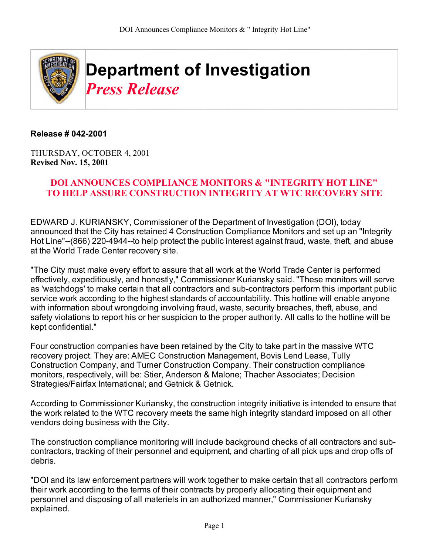

## **Release # 042-2001**

THURSDAY, OCTOBER 4, 2001 **Revised Nov. 15, 2001**

## **DOI ANNOUNCES COMPLIANCE MONITORS & "INTEGRITY HOT LINE" TO HELP ASSURE CONSTRUCTION INTEGRITY AT WTC RECOVERY SITE**

EDWARD J. KURIANSKY, Commissioner of the Department of Investigation (DOI), today announced that the City has retained 4 Construction Compliance Monitors and set up an "Integrity Hot Line"--(866) 220-4944--to help protect the public interest against fraud, waste, theft, and abuse at the World Trade Center recovery site.

"The City must make every effort to assure that all work at the World Trade Center is performed effectively, expeditiously, and honestly," Commissioner Kuriansky said. "These monitors will serve as 'watchdogs' to make certain that all contractors and sub-contractors perform this important public service work according to the highest standards of accountability. This hotline will enable anyone with information about wrongdoing involving fraud, waste, security breaches, theft, abuse, and safety violations to report his or her suspicion to the proper authority. All calls to the hotline will be kept confidential."

Four construction companies have been retained by the City to take part in the massive WTC recovery project. They are: AMEC Construction Management, Bovis Lend Lease, Tully Construction Company, and Turner Construction Company. Their construction compliance monitors, respectively, will be: Stier, Anderson & Malone; Thacher Associates; Decision Strategies/Fairfax International; and Getnick & Getnick.

According to Commissioner Kuriansky, the construction integrity initiative is intended to ensure that the work related to the WTC recovery meets the same high integrity standard imposed on all other vendors doing business with the City.

The construction compliance monitoring will include background checks of all contractors and subcontractors, tracking of their personnel and equipment, and charting of all pick ups and drop offs of debris.

"DOI and its law enforcement partners will work together to make certain that all contractors perform their work according to the terms of their contracts by properly allocating their equipment and personnel and disposing of all materiels in an authorized manner," Commissioner Kuriansky explained.